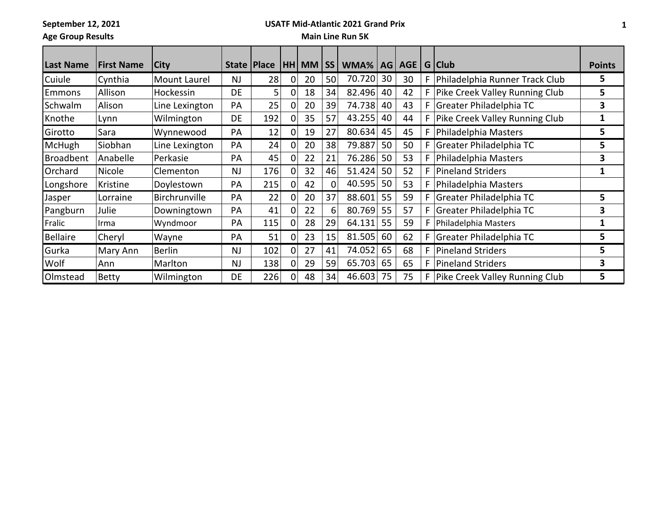**September 12, 2021**

#### **USATF Mid-Atlantic 2021 Grand Prix**

**Age Group Results**

### **Main Line Run 5K**

| Last Name        | <b>IFirst Name</b> | City           | State   Place |     |    |    |    | WMA%   | AG | <b>AGE</b> |    | G Club                         | <b>Points</b> |
|------------------|--------------------|----------------|---------------|-----|----|----|----|--------|----|------------|----|--------------------------------|---------------|
| Cuiule           | Cynthia            | Mount Laurel   | NJ.           | 28  | 0  | 20 | 50 | 70.720 | 30 | 30         | F. | Philadelphia Runner Track Club | 5.            |
| Emmons           | Allison            | Hockessin      | DE            | 5   | 0  | 18 | 34 | 82.496 | 40 | 42         | F. | Pike Creek Valley Running Club | 5             |
| Schwalm          | Alison             | Line Lexington | PA            | 25  | 0  | 20 | 39 | 74.738 | 40 | 43         | F. | Greater Philadelphia TC        | 3             |
| Knothe           | Lynn               | Wilmington     | <b>DE</b>     | 192 | 0  | 35 | 57 | 43.255 | 40 | 44         | F. | Pike Creek Valley Running Club | 1             |
| Girotto          | Sara               | Wynnewood      | PA            | 12  | 0  | 19 | 27 | 80.634 | 45 | 45         | F  | Philadelphia Masters           | 5             |
| McHugh           | Siobhan            | Line Lexington | PA            | 24  | 0  | 20 | 38 | 79.887 | 50 | 50         | F. | Greater Philadelphia TC        | 5             |
| <b>Broadbent</b> | Anabelle           | Perkasie       | PA            | 45  | 0  | 22 | 21 | 76.286 | 50 | 53         | F  | Philadelphia Masters           | 3             |
| Orchard          | Nicole             | Clementon      | <b>NJ</b>     | 176 | 0  | 32 | 46 | 51.424 | 50 | 52         | F  | <b>Pineland Striders</b>       | $\mathbf{1}$  |
| Longshore        | Kristine           | Doylestown     | PA            | 215 | 0  | 42 | 0  | 40.595 | 50 | 53         | F  | Philadelphia Masters           |               |
| Jasper           | Lorraine           | Birchrunville  | PA            | 22  | 0  | 20 | 37 | 88.601 | 55 | 59         | F. | Greater Philadelphia TC        | 5.            |
| Pangburn         | Julie              | Downingtown    | PA            | 41  | 0  | 22 | 6  | 80.769 | 55 | 57         | F  | Greater Philadelphia TC        | 3             |
| Fralic           | Irma               | Wyndmoor       | PA            | 115 | 0  | 28 | 29 | 64.131 | 55 | 59         |    | Philadelphia Masters           | 1             |
| <b>Bellaire</b>  | Cheryl             | Wayne          | PA            | 51  | 0  | 23 | 15 | 81.505 | 60 | 62         | F. | Greater Philadelphia TC        | 5             |
| Gurka            | Mary Ann           | <b>Berlin</b>  | <b>NJ</b>     | 102 | 0  | 27 | 41 | 74.052 | 65 | 68         | F. | <b>Pineland Striders</b>       | 5             |
| Wolf             | Ann                | Marlton        | <b>NJ</b>     | 138 | 0  | 29 | 59 | 65.703 | 65 | 65         | F  | <b>Pineland Striders</b>       | 3             |
| Olmstead         | <b>Betty</b>       | Wilmington     | DE            | 226 | ΩI | 48 | 34 | 46.603 | 75 | 75         | F. | Pike Creek Valley Running Club | 5             |